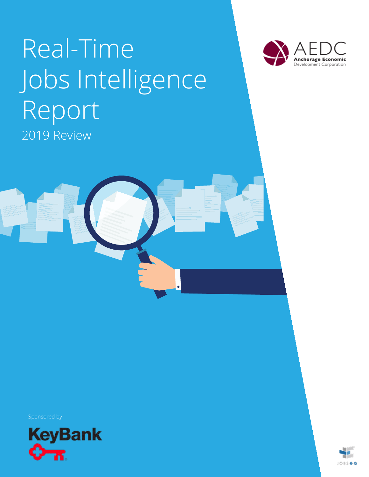# Real-Time Jobs Intelligence Report 2019 Review





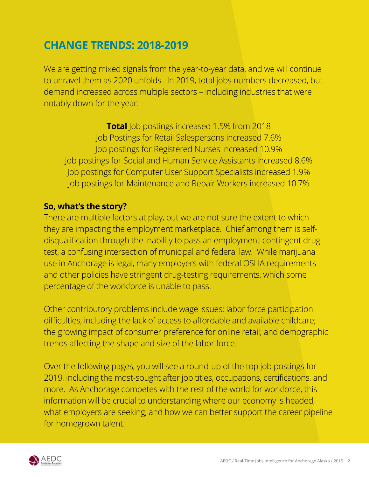### **CHANGE TRENDS: 2018-2019**

We are getting mixed signals from the year-to-year data, and we will continue to unravel them as 2020 unfolds. In 2019, total jobs numbers decreased, but demand increased across multiple sectors – including industries that were notably down for the year.

**Total** Job postings increased 1.5% from 2018 Job Postings for Retail Salespersons increased 7.6% Job postings for Registered Nurses increased 10.9% Job postings for Social and Human Service Assistants increased 8.6% Job postings for Computer User Support Specialists increased 1.9% Job postings for Maintenance and Repair Workers increased 10.7%

#### **So, what's the story?**

There are multiple factors at play, but we are not sure the extent to which they are impacting the employment marketplace. Chief among them is selfdisqualification through the inability to pass an employment-contingent drug test, a confusing intersection of municipal and federal law. While marijuana use in Anchorage is legal, many employers with federal OSHA requirements and other policies have stringent drug-testing requirements, which some percentage of the workforce is unable to pass.

Other contributory problems include wage issues; labor force participation difficulties, including the lack of access to affordable and available childcare; the growing impact of consumer preference for online retail; and demographic trends affecting the shape and size of the labor force.

Over the following pages, you will see a round-up of the top job postings for 2019, including the most-sought after job titles, occupations, certifications, and more. As Anchorage competes with the rest of the world for workforce, this information will be crucial to understanding where our economy is headed, what employers are seeking, and how we can better support the career pipeline for homegrown talent.

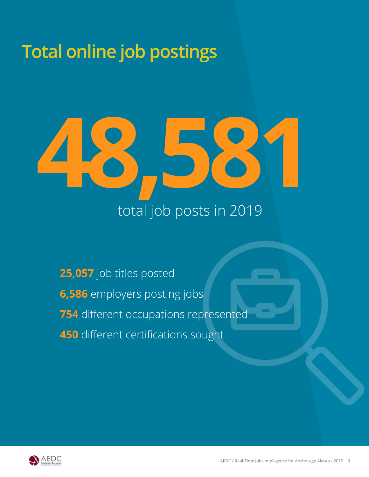## **Total online job postings**



## **25,057** job titles posted **6,586** employers posting jobs **754** different occupations represented **450** different certifications sought

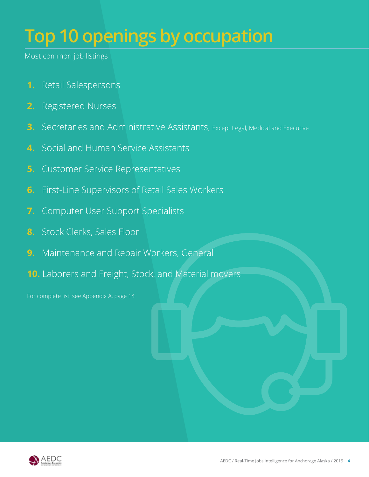## **Top 10 openings by occupation**

Most common job listings

- **1.** Retail Salespersons
- **2.** Registered Nurses
- **3.** Secretaries and Administrative Assistants, Except Legal, Medical and Executive
- **4.** Social and Human Service Assistants
- **5.** Customer Service Representatives
- **6.** First-Line Supervisors of Retail Sales Workers
- **7.** Computer User Support Specialists
- **8.** Stock Clerks, Sales Floor
- **9.** Maintenance and Repair Workers, General
- **10.** Laborers and Freight, Stock, and Material movers

For complete list, see Appendix A, page 14

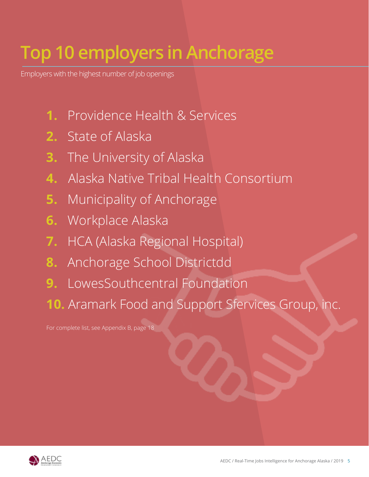# **Top 10 employers in Anchorage**

Employers with the highest number of job openings

- **1.** Providence Health & Services
- **2.** State of Alaska
- **3.** The University of Alaska
- **4.** Alaska Native Tribal Health Consortium
- **5.** Municipality of Anchorage
- **6.** Workplace Alaska
- **7.** HCA (Alaska Regional Hospital)
- **8.** Anchorage School Districtdd
- **9.** LowesSouthcentral Foundation
- **10.** Aramark Food and Support Sfervices Group, inc.

For complete list, see Appendix B, page 18

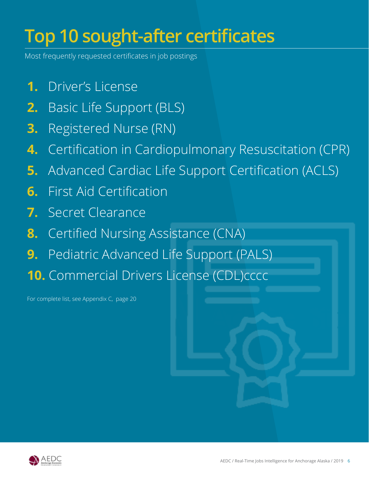# **Top 10 sought-after certificates**

Most frequently requested certificates in job postings

- **1.** Driver's License
- **2.** Basic Life Support (BLS)
- **3.** Registered Nurse (RN)
- **4.** Certification in Cardiopulmonary Resuscitation (CPR)
- **5.** Advanced Cardiac Life Support Certification (ACLS)
- **6.** First Aid Certification
- **7.** Secret Clearance
- **8.** Certified Nursing Assistance (CNA)
- **9.** Pediatric Advanced Life Support (PALS)
- **10.** Commercial Drivers License (CDL)cccc

For complete list, see Appendix C, page 20

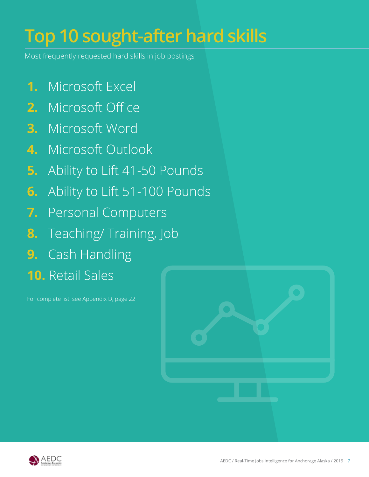# **Top 10 sought-after hard skills**

Most frequently requested hard skills in job postings

- **1.** Microsoft Excel
- **2.** Microsoft Office
- **3.** Microsoft Word
- **4.** Microsoft Outlook
- **5.** Ability to Lift 41-50 Pounds
- **6.** Ability to Lift 51-100 Pounds
- **7.** Personal Computers
- **8.** Teaching/ Training, Job
- **9.** Cash Handling
- **10.** Retail Sales

For complete list, see Appendix D, page 22



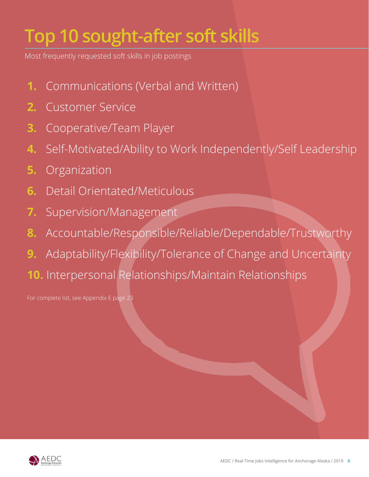# **Top 10 sought-after soft skills**

Most frequently requested soft skills in job postings

- **1.** Communications (Verbal and Written)
- **2.** Customer Service
- **3.** Cooperative/Team Player
- **4.** Self-Motivated/Ability to Work Independently/Self Leadership
- **5.** Organization
- **6.** Detail Orientated/Meticulous
- **7.** Supervision/Management
- **8.** Accountable/Responsible/Reliable/Dependable/Trustworthy
- **9.** Adaptability/Flexibility/Tolerance of Change and Uncertainty
- **10.** Interpersonal Relationships/Maintain Relationships

For complete list, see Appendix E page 23

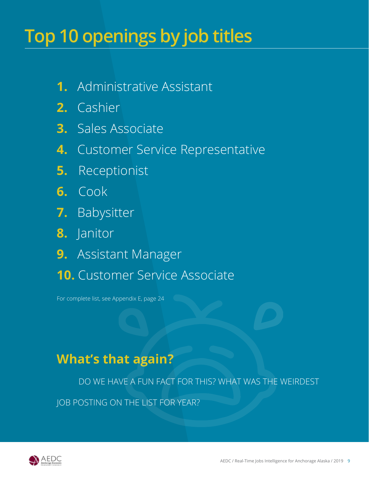## **Top 10 openings by job titles**

- **1.** Administrative Assistant
- **2.** Cashier
- **3.** Sales Associate
- **4.** Customer Service Representative
- **5.** Receptionist
- **6.** Cook
- **7.** Babysitter
- **8.** Janitor
- **9.** Assistant Manager
- **10.** Customer Service Associate

For complete list, see Appendix E, page 24

### **What's that again?**

DO WE HAVE A FUN FACT FOR THIS? WHAT WAS THE WEIRDEST

JOB POSTING ON THE LIST FOR YEAR?

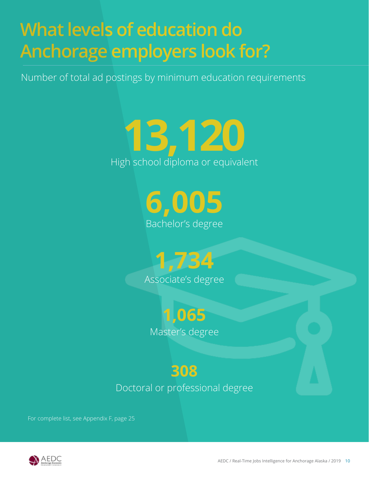# **What levels of education do Anchorage employers look for?**

Number of total ad postings by minimum education requirements

# **13,120**  High school diploma or equivalent

**6,005** Bachelor's degree

**1,734** Associate's degree

> **1,065** Master's degree

### **308** Doctoral or professional degree

For complete list, see Appendix F, page 25

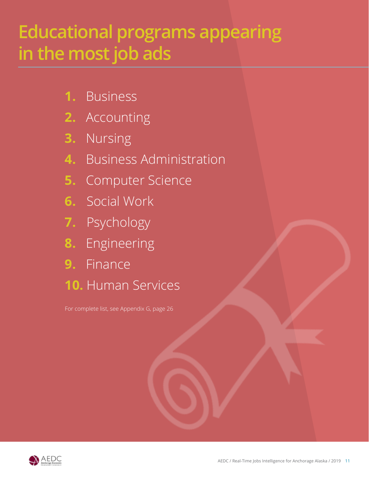## **Educational programs appearing in the most job ads**

- **1.** Business
- **2.** Accounting
- **3.** Nursing
- **4.** Business Administration
- **5.** Computer Science
- **6.** Social Work
- **7.** Psychology
- **8.** Engineering
- **9.** Finance
- **10.** Human Services

For complete list, see Appendix G, page 26

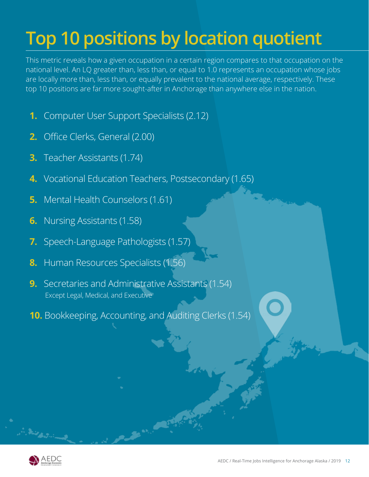# **Top 10 positions by location quotient**

This metric reveals how a given occupation in a certain region compares to that occupation on the national level. An LQ greater than, less than, or equal to 1.0 represents an occupation whose jobs are locally more than, less than, or equally prevalent to the national average, respectively. These top 10 positions are far more sought-after in Anchorage than anywhere else in the nation.

- **1.** Computer User Support Specialists (2.12)
- **2.** Office Clerks, General (2.00)
- **3.** Teacher Assistants (1.74)
- **4.** Vocational Education Teachers, Postsecondary (1.65)
- **5.** Mental Health Counselors (1.61)
- **6.** Nursing Assistants (1.58)
- **7.** Speech-Language Pathologists (1.57)
- **8.** Human Resources Specialists (1.56)
- **9.** Secretaries and Administrative Assistants (1.54) Except Legal, Medical, and Executive
- **10.** Bookkeeping, Accounting, and Auditing Clerks (1.54)



in Sales Barriot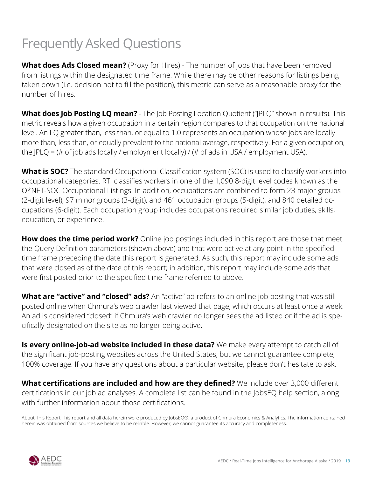## Frequently Asked Questions

**What does Ads Closed mean?** (Proxy for Hires) - The number of jobs that have been removed from listings within the designated time frame. While there may be other reasons for listings being taken down (i.e. decision not to fill the position), this metric can serve as a reasonable proxy for the number of hires.

**What does Job Posting LQ mean?** - The Job Posting Location Quotient ("JPLQ" shown in results). This metric reveals how a given occupation in a certain region compares to that occupation on the national level. An LQ greater than, less than, or equal to 1.0 represents an occupation whose jobs are locally more than, less than, or equally prevalent to the national average, respectively. For a given occupation, the JPLQ = (# of job ads locally / employment locally) / (# of ads in USA / employment USA).

What is SOC? The standard Occupational Classification system (SOC) is used to classify workers into occupational categories. RTI classifies workers in one of the 1,090 8-digit level codes known as the O\*NET-SOC Occupational Listings. In addition, occupations are combined to form 23 major groups (2-digit level), 97 minor groups (3-digit), and 461 occupation groups (5-digit), and 840 detailed occupations (6-digit). Each occupation group includes occupations required similar job duties, skills, education, or experience.

**How does the time period work?** Online job postings included in this report are those that meet the Query Definition parameters (shown above) and that were active at any point in the specified time frame preceding the date this report is generated. As such, this report may include some ads that were closed as of the date of this report; in addition, this report may include some ads that were first posted prior to the specified time frame referred to above.

**What are "active" and "closed" ads?** An "active" ad refers to an online job posting that was still posted online when Chmura's web crawler last viewed that page, which occurs at least once a week. An ad is considered "closed" if Chmura's web crawler no longer sees the ad listed or if the ad is specifically designated on the site as no longer being active.

**Is every online-job-ad website included in these data?** We make every attempt to catch all of the significant job-posting websites across the United States, but we cannot guarantee complete, 100% coverage. If you have any questions about a particular website, please don't hesitate to ask.

**What certifications are included and how are they defined?** We include over 3,000 different certifications in our job ad analyses. A complete list can be found in the JobsEQ help section, along with further information about those certifications.

About This Report This report and all data herein were produced by JobsEQ®, a product of Chmura Economics & Analytics. The information contained herein was obtained from sources we believe to be reliable. However, we cannot guarantee its accuracy and completeness.

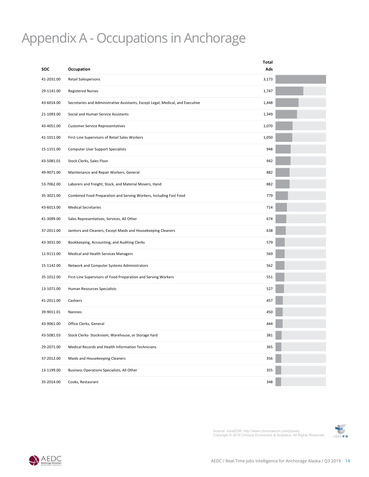### Appendix A - Occupations in Anchorage

|            |                                                                                 | Total |  |
|------------|---------------------------------------------------------------------------------|-------|--|
| <b>SOC</b> | Occupation                                                                      | Ads   |  |
| 41-2031.00 | Retail Salespersons                                                             | 3,173 |  |
| 29-1141.00 | <b>Registered Nurses</b>                                                        | 1,747 |  |
| 43-6014.00 | Secretaries and Administrative Assistants, Except Legal, Medical, and Executive | 1,448 |  |
| 21-1093.00 | Social and Human Service Assistants                                             | 1,349 |  |
| 43-4051.00 | <b>Customer Service Representatives</b>                                         | 1,070 |  |
| 41-1011.00 | First-Line Supervisors of Retail Sales Workers                                  | 1,050 |  |
| 15-1151.00 | <b>Computer User Support Specialists</b>                                        | 948   |  |
| 43-5081.01 | Stock Clerks, Sales Floor                                                       | 942   |  |
| 49-9071.00 | Maintenance and Repair Workers, General                                         | 882   |  |
| 53-7062.00 | Laborers and Freight, Stock, and Material Movers, Hand                          | 882   |  |
| 35-3021.00 | Combined Food Preparation and Serving Workers, Including Fast Food              | 779   |  |
| 43-6013.00 | <b>Medical Secretaries</b>                                                      | 714   |  |
| 41-3099.00 | Sales Representatives, Services, All Other                                      | 674   |  |
| 37-2011.00 | Janitors and Cleaners, Except Maids and Housekeeping Cleaners                   | 638   |  |
| 43-3031.00 | Bookkeeping, Accounting, and Auditing Clerks                                    | 579   |  |
| 11-9111.00 | Medical and Health Services Managers                                            | 569   |  |
| 15-1142.00 | Network and Computer Systems Administrators                                     | 562   |  |
| 35-1012.00 | First-Line Supervisors of Food Preparation and Serving Workers                  | 551   |  |
| 13-1071.00 | Human Resources Specialists                                                     | 527   |  |
| 41-2011.00 | Cashiers                                                                        | 457   |  |
| 39-9011.01 | Nannies                                                                         | 450   |  |
| 43-9061.00 | Office Clerks, General                                                          | 444   |  |
| 43-5081.03 | Stock Clerks- Stockroom, Warehouse, or Storage Yard                             | 381   |  |
| 29-2071.00 | Medical Records and Health Information Technicians                              | 365   |  |
| 37-2012.00 | Maids and Housekeeping Cleaners                                                 | 356   |  |
| 13-1199.00 | Business Operations Specialists, All Other                                      | 355   |  |
| 35-2014.00 | Cooks, Restaurant                                                               | 348   |  |

Source: JobsEQ®, http://www.chmuraecon.com/jobseq<br>Copyright © 2019 Chmura Economics & Analytics, All Rights Reserved. 1088 ● a



AEDC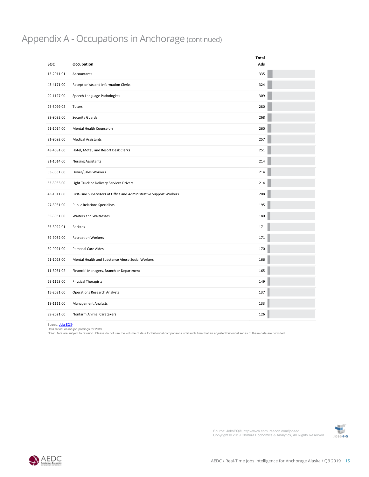#### Appendix A - Occupations in Anchorage (continued)

|                        |                                                                     | <b>Total</b> |
|------------------------|---------------------------------------------------------------------|--------------|
| <b>SOC</b>             | Occupation                                                          | Ads          |
| 13-2011.01             | Accountants                                                         | 335          |
| 43-4171.00             | Receptionists and Information Clerks                                | 324          |
| 29-1127.00             | Speech-Language Pathologists                                        | 309          |
| 25-3099.02             | Tutors                                                              | 280          |
| 33-9032.00             | <b>Security Guards</b>                                              | 268          |
| 21-1014.00             | <b>Mental Health Counselors</b>                                     | 260          |
| 31-9092.00             | <b>Medical Assistants</b>                                           | 257          |
| 43-4081.00             | Hotel, Motel, and Resort Desk Clerks                                | 251          |
| 31-1014.00             | <b>Nursing Assistants</b>                                           | 214          |
| 53-3031.00             | Driver/Sales Workers                                                | 214          |
| 53-3033.00             | Light Truck or Delivery Services Drivers                            | 214          |
| 43-1011.00             | First-Line Supervisors of Office and Administrative Support Workers | 208          |
| 27-3031.00             | <b>Public Relations Specialists</b>                                 | 195          |
| 35-3031.00             | Waiters and Waitresses                                              | 180          |
| 35-3022.01             | Baristas                                                            | 171          |
| 39-9032.00             | <b>Recreation Workers</b>                                           | 171          |
| 39-9021.00             | Personal Care Aides                                                 | 170          |
| 21-1023.00             | Mental Health and Substance Abuse Social Workers                    | 166          |
| 11-3031.02             | Financial Managers, Branch or Department                            | 165          |
| 29-1123.00             | <b>Physical Therapists</b>                                          | 149          |
| 15-2031.00             | <b>Operations Research Analysts</b>                                 | 137          |
| 13-1111.00             | <b>Management Analysts</b>                                          | 133          |
| 39-2021.00             | Nonfarm Animal Caretakers                                           | 126          |
| Source: <b>JohsEQ®</b> |                                                                     |              |

and are subject to revision. I rease to not use the volume or uata for mistorical companisons until such time that an adjusted mistorical series or these tata are provided. General Communication Inc. 110 13 28 Source: <u>JobsEQ®</u><br>Data reflect online job postings for 2019<br>Note: Data are subject to revision. Please do not use the volume of data for historical comparisons until such time that an adjusted historical series of these da

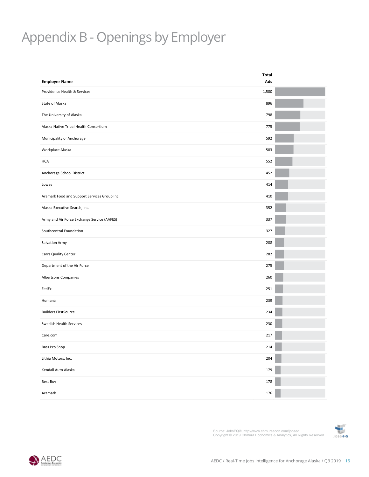## Appendix B - Openings by Employer

|                                              | Total |  |
|----------------------------------------------|-------|--|
| <b>Employer Name</b>                         | Ads   |  |
| Providence Health & Services                 | 1,580 |  |
| State of Alaska                              | 896   |  |
| The University of Alaska                     | 798   |  |
| Alaska Native Tribal Health Consortium       | 775   |  |
| Municipality of Anchorage                    | 592   |  |
| Workplace Alaska                             | 583   |  |
| <b>HCA</b>                                   | 552   |  |
| Anchorage School District                    | 452   |  |
| Lowes                                        | 414   |  |
| Aramark Food and Support Services Group Inc. | 410   |  |
| Alaska Executive Search, Inc.                | 352   |  |
| Army and Air Force Exchange Service (AAFES)  | 337   |  |
| Southcentral Foundation                      | 327   |  |
| Salvation Army                               | 288   |  |
| Carrs Quality Center                         | 282   |  |
| Department of the Air Force                  | 275   |  |
| Albertsons Companies                         | 260   |  |
| FedEx                                        | 251   |  |
| Humana                                       | 239   |  |
| <b>Builders FirstSource</b>                  | 234   |  |
| Swedish Health Services                      | 230   |  |
| Care.com                                     | 217   |  |
| Bass Pro Shop                                | 214   |  |
| Lithia Motors, Inc.                          | 204   |  |
| Kendall Auto Alaska                          | 179   |  |
| Best Buy                                     | 178   |  |
| Aramark                                      | 176   |  |
|                                              |       |  |



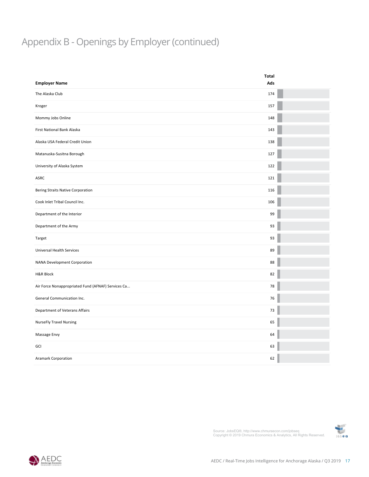### Appendix B - Openings by Employer (continued)

|                                                    | <b>Total</b> |
|----------------------------------------------------|--------------|
| <b>Employer Name</b>                               | Ads          |
| The Alaska Club                                    | 174          |
| Kroger                                             | 157          |
| Mommy Jobs Online                                  | 148          |
| First National Bank Alaska                         | 143          |
| Alaska USA Federal Credit Union                    | 138          |
| Matanuska-Susitna Borough                          | 127          |
| University of Alaska System                        | 122          |
| ASRC                                               | 121          |
| <b>Bering Straits Native Corporation</b>           | 116          |
| Cook Inlet Tribal Council Inc.                     | 106          |
| Department of the Interior                         | 99           |
| Department of the Army                             | 93           |
| Target                                             | 93           |
| Universal Health Services                          | 89           |
| NANA Development Corporation                       | 88           |
| <b>H&amp;R Block</b>                               | 82           |
| Air Force Nonappropriated Fund (AFNAF) Services Ca | ${\bf 78}$   |
| General Communication Inc.                         | $76\,$       |
| Department of Veterans Affairs                     | $73\,$       |
| <b>NurseFly Travel Nursing</b>                     | 65           |
| Massage Envy                                       | 64           |
| GCI                                                | 63           |
| Aramark Corporation                                | 62           |



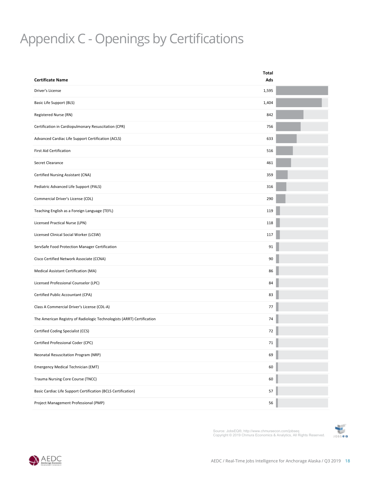#### EMPI N  $\overline{a}$  by Certifications by Certifications by Certifications by Certifications by Certifications by Certifications by Certifications by Certifications by Certifications by Certifications by Certifications by Certificati Appendix C - Openings by Certifications

|                                                                        | Total |  |
|------------------------------------------------------------------------|-------|--|
| <b>Certificate Name</b>                                                | Ads   |  |
| Driver's License                                                       | 1,595 |  |
| Basic Life Support (BLS)                                               | 1,404 |  |
| Registered Nurse (RN)                                                  | 842   |  |
| Certification in Cardiopulmonary Resuscitation (CPR)                   | 756   |  |
| Advanced Cardiac Life Support Certification (ACLS)                     | 633   |  |
| <b>First Aid Certification</b>                                         | 516   |  |
| Secret Clearance                                                       | 461   |  |
| Certified Nursing Assistant (CNA)                                      | 359   |  |
| Pediatric Advanced Life Support (PALS)                                 | 316   |  |
| Commercial Driver's License (CDL)                                      | 290   |  |
| Teaching English as a Foreign Language (TEFL)                          | 119   |  |
| Licensed Practical Nurse (LPN)                                         | 118   |  |
| Licensed Clinical Social Worker (LCSW)                                 | 117   |  |
| ServSafe Food Protection Manager Certification                         | 91    |  |
| Cisco Certified Network Associate (CCNA)                               | 90    |  |
| Medical Assistant Certification (MA)                                   | 86    |  |
| Licensed Professional Counselor (LPC)                                  | 84    |  |
| Certified Public Accountant (CPA)                                      | 83    |  |
| Class A Commercial Driver's License (CDL-A)                            | 77    |  |
| The American Registry of Radiologic Technologists (ARRT) Certification | 74    |  |
| Certified Coding Specialist (CCS)                                      | 72    |  |
| Certified Professional Coder (CPC)                                     | 71    |  |
| Neonatal Resuscitation Program (NRP)                                   | 69    |  |
| <b>Emergency Medical Technician (EMT)</b>                              | 60    |  |
| Trauma Nursing Core Course (TNCC)                                      | 60    |  |
| Basic Cardiac Life Support Certification (BCLS Certification)          | 57    |  |
| Project Management Professional (PMP)                                  | 56    |  |



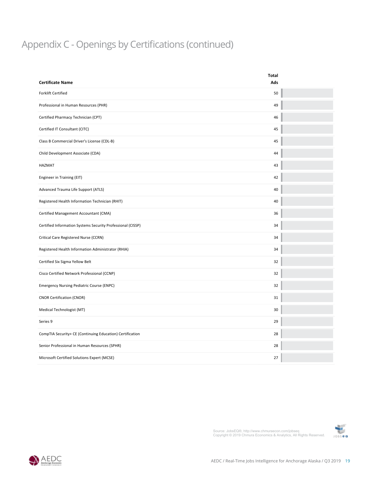#### $V \cap D$ Appendix C - Openings by Certifications (continued)

|                                                             | <b>Total</b> |  |
|-------------------------------------------------------------|--------------|--|
| <b>Certificate Name</b>                                     | Ads          |  |
| <b>Forklift Certified</b>                                   | 50           |  |
| Professional in Human Resources (PHR)                       | 49           |  |
| Certified Pharmacy Technician (CPT)                         | 46           |  |
| Certified IT Consultant (CITC)                              | 45           |  |
| Class B Commercial Driver's License (CDL-B)                 | 45           |  |
| Child Development Associate (CDA)                           | 44           |  |
| <b>HAZMAT</b>                                               | 43           |  |
| Engineer in Training (EIT)                                  | 42           |  |
| Advanced Trauma Life Support (ATLS)                         | 40           |  |
| Registered Health Information Technician (RHIT)             | 40           |  |
| Certified Management Accountant (CMA)                       | 36           |  |
| Certified Information Systems Security Professional (CISSP) | 34           |  |
| Critical Care Registered Nurse (CCRN)                       | 34           |  |
| Registered Health Information Administrator (RHIA)          | 34           |  |
| Certified Six Sigma Yellow Belt                             | 32           |  |
| Cisco Certified Network Professional (CCNP)                 | 32           |  |
| <b>Emergency Nursing Pediatric Course (ENPC)</b>            | 32           |  |
| <b>CNOR Certification (CNOR)</b>                            | 31           |  |
| Medical Technologist (MT)                                   | 30           |  |
| Series 9                                                    | 29           |  |
| CompTIA Security+ CE (Continuing Education) Certification   | 28           |  |
| Senior Professional in Human Resources (SPHR)               | 28           |  |
| Microsoft Certified Solutions Expert (MCSE)                 | 27           |  |



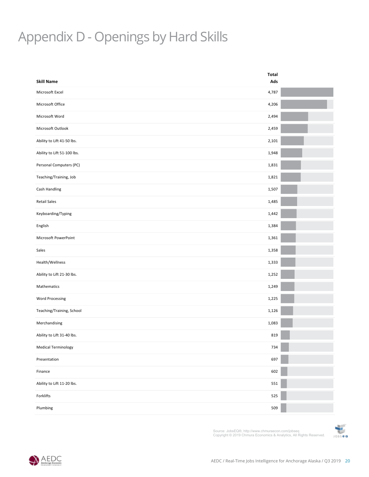## Appendix D - Openings by Hard Skills

| <b>Skill Name</b>           | <b>Total</b><br>Ads |  |
|-----------------------------|---------------------|--|
| Microsoft Excel             | 4,787               |  |
|                             |                     |  |
| Microsoft Office            | 4,206               |  |
| Microsoft Word              | 2,494               |  |
| Microsoft Outlook           | 2,459               |  |
| Ability to Lift 41-50 lbs.  | 2,101               |  |
| Ability to Lift 51-100 lbs. | 1,948               |  |
| Personal Computers (PC)     | 1,831               |  |
| Teaching/Training, Job      | 1,821               |  |
| Cash Handling               | 1,507               |  |
| <b>Retail Sales</b>         | 1,485               |  |
| Keyboarding/Typing          | 1,442               |  |
| English                     | 1,384               |  |
| Microsoft PowerPoint        | 1,361               |  |
| Sales                       | 1,358               |  |
| Health/Wellness             | 1,333               |  |
| Ability to Lift 21-30 lbs.  | 1,252               |  |
| Mathematics                 | 1,249               |  |
| <b>Word Processing</b>      | 1,225               |  |
| Teaching/Training, School   | 1,126               |  |
| Merchandising               | 1,083               |  |
| Ability to Lift 31-40 lbs.  | 819                 |  |
| <b>Medical Terminology</b>  | 734                 |  |
| Presentation                | 697                 |  |
| Finance                     | 602                 |  |
| Ability to Lift 11-20 lbs.  | 551                 |  |
| Forklifts                   | 525                 |  |
| Plumbing                    | 509                 |  |



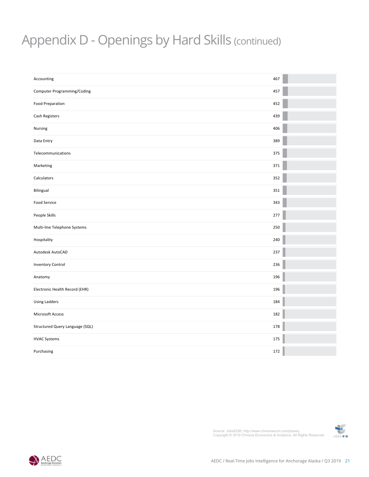#### **Employer Name** tinue Appendix D - Openings by Hard Skills (continued)

| Accounting                      | 467 |  |
|---------------------------------|-----|--|
| Computer Programming/Coding     | 457 |  |
| <b>Food Preparation</b>         | 452 |  |
| Cash Registers                  | 439 |  |
| Nursing                         | 406 |  |
| Data Entry                      | 389 |  |
| Telecommunications              | 375 |  |
| Marketing                       | 371 |  |
| Calculators                     | 352 |  |
| Bilingual                       | 351 |  |
| Food Service                    | 343 |  |
| People Skills                   | 277 |  |
| Multi-line Telephone Systems    | 250 |  |
| Hospitality                     | 240 |  |
| Autodesk AutoCAD                | 237 |  |
| <b>Inventory Control</b>        | 236 |  |
| Anatomy                         | 196 |  |
| Electronic Health Record (EHR)  | 196 |  |
| <b>Using Ladders</b>            | 184 |  |
| Microsoft Access                | 182 |  |
| Structured Query Language (SQL) | 178 |  |
| <b>HVAC Systems</b>             | 175 |  |
| Purchasing                      | 172 |  |



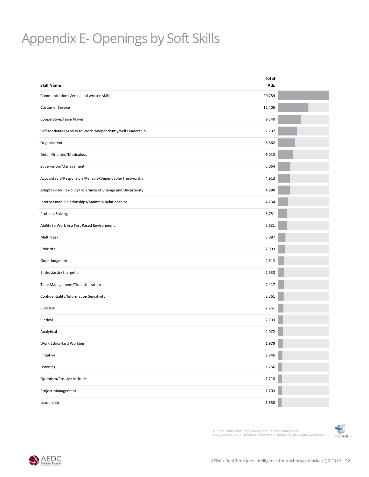## **Appendix E- Openings by Soft Skills**

| <b>Skill Name</b>                                            | Total         |  |
|--------------------------------------------------------------|---------------|--|
| Communication (Verbal and written skills)                    | Ads<br>20,784 |  |
| <b>Customer Service</b>                                      | 12,406        |  |
|                                                              |               |  |
| Cooperative/Team Player                                      | 9,340         |  |
| Self-Motivated/Ability to Work Independently/Self Leadership | 7,707         |  |
| Organization                                                 | 6,862         |  |
| Detail Oriented/Meticulous                                   | 6,013         |  |
| Supervision/Management                                       | 5,064         |  |
| Accountable/Responsible/Reliable/Dependable/Trustworthy      | 4,913         |  |
| Adaptability/Flexibility/Tolerance of Change and Uncertainty | 4,880         |  |
| Interpersonal Relationships/Maintain Relationships           | 4,234         |  |
| Problem Solving                                              | 3,751         |  |
| Ability to Work in a Fast Paced Environment                  | 3,631         |  |
| Multi-Task                                                   | 3,087         |  |
| Prioritize                                                   | 2,993         |  |
| Good Judgment                                                | 2,613         |  |
| Enthusiastic/Energetic                                       | 2,533         |  |
| Time Management/Time Utilization                             | 2,417         |  |
| Confidentiality/Information Sensitivity                      | 2,361         |  |
| Punctual                                                     | 2,251         |  |
| Clerical                                                     | 2,103         |  |
| Analytical                                                   | 2,072         |  |
| Work Ethic/Hard Working                                      | 1,979         |  |
| Initiative                                                   | 1,846         |  |
| Listening                                                    | 1,756         |  |
| Optimism/Positive Attitude                                   | 1,718         |  |
| Project Management                                           | 1,703         |  |
| Leadership                                                   | 1,550         |  |



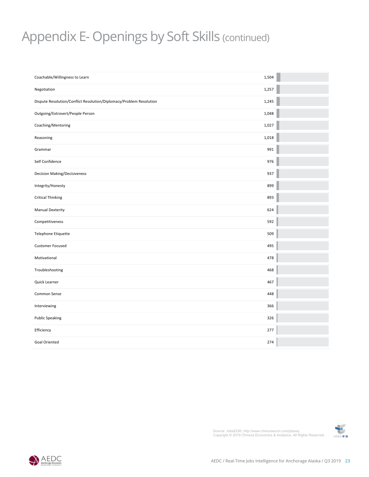#### $P^{\text{max}} =$ **Median**  Appendix E- Openings by Soft Skills (continued)

| Coachable/Willingness to Learn                                      | 1,504 |  |
|---------------------------------------------------------------------|-------|--|
| Negotiation                                                         | 1,257 |  |
| Dispute Resolution/Conflict Resolution/Diplomacy/Problem Resolution | 1,245 |  |
| Outgoing/Extrovert/People Person                                    | 1,048 |  |
| Coaching/Mentoring                                                  | 1,027 |  |
| Reasoning                                                           | 1,018 |  |
| Grammar                                                             | 991   |  |
| Self Confidence                                                     | 976   |  |
| <b>Decision Making/Decisiveness</b>                                 | 937   |  |
| Integrity/Honesty                                                   | 899   |  |
| <b>Critical Thinking</b>                                            | 893   |  |
| <b>Manual Dexterity</b>                                             | 624   |  |
| Competitiveness                                                     | 592   |  |
| Telephone Etiquette                                                 | 509   |  |
| <b>Customer Focused</b>                                             | 495   |  |
| Motivational                                                        | 478   |  |
| Troubleshooting                                                     | 468   |  |
| Quick Learner                                                       | 467   |  |
| Common Sense                                                        | 448   |  |
| Interviewing                                                        | 366   |  |
| <b>Public Speaking</b>                                              | 326   |  |
| Efficiency                                                          | 277   |  |
| Goal Oriented                                                       | 274   |  |



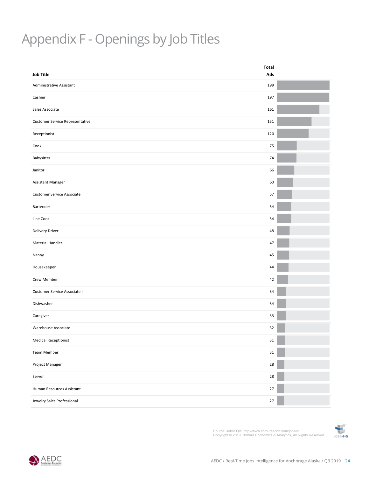## **Employer Name** Openings by Job Titles Appendix F - Openings by Job Titles

| <b>Job Title</b>                       | Total<br>Ads |  |
|----------------------------------------|--------------|--|
| Administrative Assistant               | 199          |  |
| Cashier                                | 197          |  |
| Sales Associate                        | 161          |  |
| <b>Customer Service Representative</b> | 131          |  |
| Receptionist                           | 120          |  |
| Cook                                   | 75           |  |
| Babysitter                             | 74           |  |
| Janitor                                | 66           |  |
| <b>Assistant Manager</b>               | 60           |  |
| Customer Service Associate             | 57           |  |
| Bartender                              | 54           |  |
| Line Cook                              | 54           |  |
| Delivery Driver                        | 48           |  |
| Material Handler                       | 47           |  |
| Nanny                                  | 45           |  |
| Housekeeper                            | 44           |  |
| Crew Member                            | 42           |  |
| Customer Service Associate II          | 34           |  |
| Dishwasher                             | 34           |  |
| Caregiver                              | 33           |  |
| Warehouse Associate                    | 32           |  |
| <b>Medical Receptionist</b>            | 31           |  |
| Team Member                            | $31\,$       |  |
| Project Manager                        | 28           |  |
| Server                                 | 28           |  |
| Human Resources Assistant              | 27           |  |
| Jewelry Sales Professional             | $27\,$       |  |
|                                        |              |  |



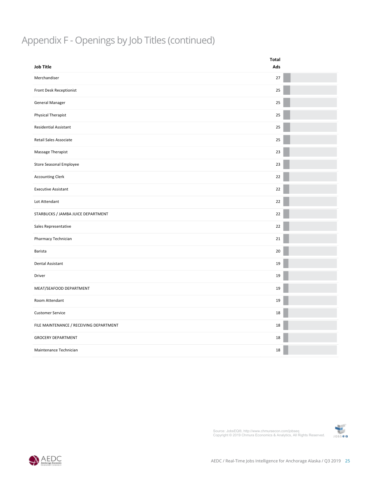### Appendix F - Openings by Job Titles (continued)

|                                         | Total |  |
|-----------------------------------------|-------|--|
| <b>Job Title</b>                        | Ads   |  |
| Merchandiser                            | 27    |  |
| Front Desk Receptionist                 | 25    |  |
| <b>General Manager</b>                  | 25    |  |
| Physical Therapist                      | 25    |  |
| Residential Assistant                   | 25    |  |
| Retail Sales Associate                  | 25    |  |
| Massage Therapist                       | 23    |  |
| Store Seasonal Employee                 | 23    |  |
| <b>Accounting Clerk</b>                 | 22    |  |
| <b>Executive Assistant</b>              | 22    |  |
| Lot Attendant                           | 22    |  |
| STARBUCKS / JAMBA JUICE DEPARTMENT      | 22    |  |
| Sales Representative                    | 22    |  |
| Pharmacy Technician                     | 21    |  |
| Barista                                 | 20    |  |
| Dental Assistant                        | 19    |  |
| Driver                                  | 19    |  |
| MEAT/SEAFOOD DEPARTMENT                 | 19    |  |
| Room Attendant                          | 19    |  |
| <b>Customer Service</b>                 | 18    |  |
| FILE MAINTENANCE / RECEIVING DEPARTMENT | 18    |  |
| <b>GROCERY DEPARTMENT</b>               | 18    |  |
| Maintenance Technician                  | 18    |  |



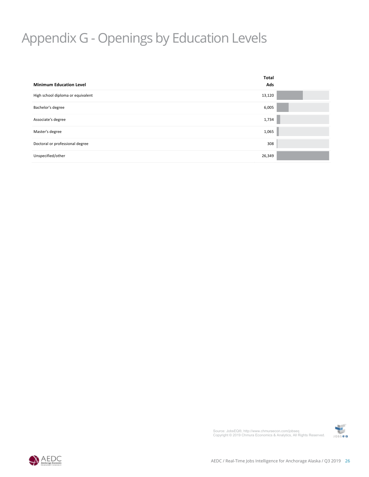#### **Employer Name**  $\overline{\phantom{a}}$ Appendix G - Openings by Education Levels

| <b>Minimum Education Level</b>    | Total<br>Ads |
|-----------------------------------|--------------|
| High school diploma or equivalent | 13,120       |
| Bachelor's degree                 | 6,005        |
| Associate's degree                | 1,734        |
| Master's degree                   | 1,065        |
| Doctoral or professional degree   | 308          |
| Unspecified/other                 | 26,349       |
|                                   |              |



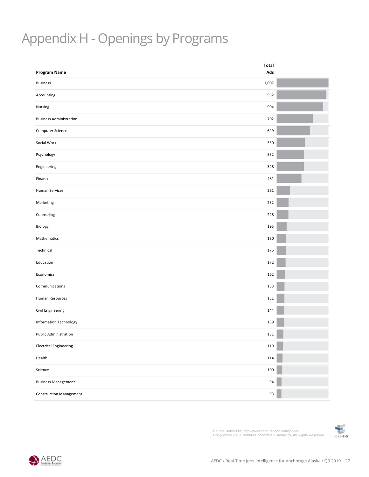## **Employer Name** Openings by Programs Appendix H - Openings by Programs

| 1,007<br><b>Business</b><br>952<br>Accounting<br>904<br>Nursing<br><b>Business Administration</b><br>702<br>649<br>550<br>532<br>528<br>481<br>261<br>232<br>228<br>195<br>180<br>175<br>172<br>162<br>153<br>151<br>144<br>139<br>$131\,$<br>119<br>114<br>100<br>94<br>93 | <b>Program Name</b>            | Total<br>Ads |  |
|-----------------------------------------------------------------------------------------------------------------------------------------------------------------------------------------------------------------------------------------------------------------------------|--------------------------------|--------------|--|
|                                                                                                                                                                                                                                                                             |                                |              |  |
|                                                                                                                                                                                                                                                                             |                                |              |  |
|                                                                                                                                                                                                                                                                             |                                |              |  |
|                                                                                                                                                                                                                                                                             |                                |              |  |
|                                                                                                                                                                                                                                                                             |                                |              |  |
|                                                                                                                                                                                                                                                                             | Computer Science               |              |  |
|                                                                                                                                                                                                                                                                             | Social Work                    |              |  |
|                                                                                                                                                                                                                                                                             | Psychology                     |              |  |
|                                                                                                                                                                                                                                                                             | Engineering                    |              |  |
|                                                                                                                                                                                                                                                                             | Finance                        |              |  |
|                                                                                                                                                                                                                                                                             | Human Services                 |              |  |
|                                                                                                                                                                                                                                                                             | Marketing                      |              |  |
|                                                                                                                                                                                                                                                                             | Counseling                     |              |  |
|                                                                                                                                                                                                                                                                             | Biology                        |              |  |
|                                                                                                                                                                                                                                                                             | Mathematics                    |              |  |
|                                                                                                                                                                                                                                                                             | Technical                      |              |  |
|                                                                                                                                                                                                                                                                             | Education                      |              |  |
|                                                                                                                                                                                                                                                                             | Economics                      |              |  |
|                                                                                                                                                                                                                                                                             | Communications                 |              |  |
|                                                                                                                                                                                                                                                                             | Human Resources                |              |  |
|                                                                                                                                                                                                                                                                             | Civil Engineering              |              |  |
|                                                                                                                                                                                                                                                                             | Information Technology         |              |  |
|                                                                                                                                                                                                                                                                             | Public Administration          |              |  |
|                                                                                                                                                                                                                                                                             | <b>Electrical Engineering</b>  |              |  |
|                                                                                                                                                                                                                                                                             | Health                         |              |  |
|                                                                                                                                                                                                                                                                             | Science                        |              |  |
|                                                                                                                                                                                                                                                                             | <b>Business Management</b>     |              |  |
|                                                                                                                                                                                                                                                                             | <b>Construction Management</b> |              |  |



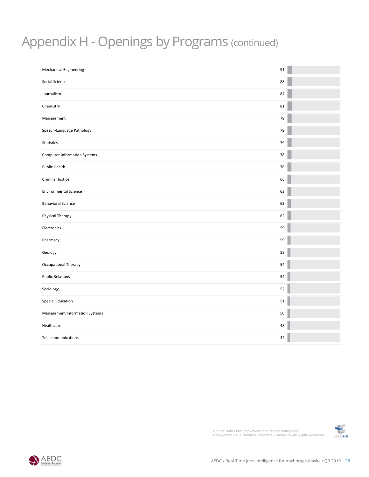#### **Employer Name** Appendix H - Openings by Programs (continued)

| <b>Mechanical Engineering</b>       | 91     |
|-------------------------------------|--------|
| Social Science                      | 88     |
| Journalism                          | 84     |
| Chemistry                           | 81     |
| Management                          | 79     |
| Speech-Language Pathology           | 79     |
| <b>Statistics</b>                   | 79     |
| <b>Computer Information Systems</b> | 78     |
| Public Health                       | 76     |
| Criminal Justice                    | 66     |
| <b>Environmental Science</b>        | 63     |
| <b>Behavioral Science</b>           | 62     |
| Physical Therapy                    | 62     |
| Electronics                         | 59     |
| Pharmacy                            | 59     |
| Geology                             | 58     |
| Occupational Therapy                | 54     |
| <b>Public Relations</b>             | 54     |
| Sociology                           | 52     |
| Special Education                   | 51     |
| Management Information Systems      | $50\,$ |
| Healthcare                          | 48     |
| Telecommunications                  | 44     |
|                                     |        |